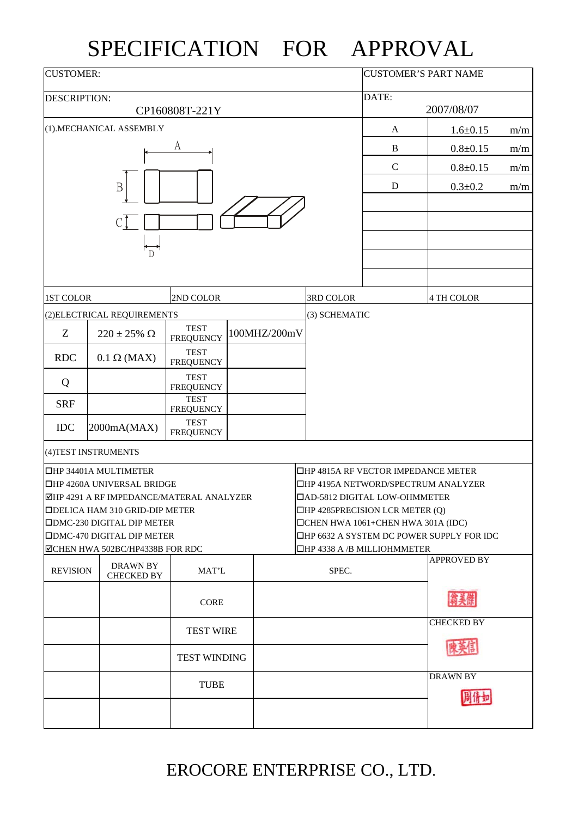## SPECIFICATION FOR APPROVAL

| <b>CUSTOMER:</b>    |                                       |                                          | <b>CUSTOMER'S PART NAME</b>                                                 |             |                                            |                    |  |  |
|---------------------|---------------------------------------|------------------------------------------|-----------------------------------------------------------------------------|-------------|--------------------------------------------|--------------------|--|--|
| <b>DESCRIPTION:</b> |                                       |                                          |                                                                             | DATE:       |                                            |                    |  |  |
|                     |                                       | CP160808T-221Y                           |                                                                             | 2007/08/07  |                                            |                    |  |  |
|                     | (1).MECHANICAL ASSEMBLY               |                                          |                                                                             | A           | $1.6 \pm 0.15$                             | m/m                |  |  |
|                     |                                       | A                                        |                                                                             | $\bf{B}$    | $0.8 + 0.15$                               | m/m                |  |  |
|                     |                                       |                                          |                                                                             | $\mathbf C$ | $0.8 + 0.15$                               | m/m                |  |  |
|                     | B                                     |                                          |                                                                             | D           | $0.3 \pm 0.2$                              | m/m                |  |  |
|                     |                                       |                                          |                                                                             |             |                                            |                    |  |  |
|                     |                                       |                                          |                                                                             |             |                                            |                    |  |  |
|                     |                                       |                                          |                                                                             |             |                                            |                    |  |  |
|                     |                                       |                                          |                                                                             |             |                                            |                    |  |  |
|                     |                                       |                                          |                                                                             |             |                                            |                    |  |  |
| <b>1ST COLOR</b>    |                                       | 2ND COLOR                                |                                                                             | 3RD COLOR   |                                            | 4 TH COLOR         |  |  |
|                     | (2) ELECTRICAL REQUIREMENTS           |                                          |                                                                             |             | (3) SCHEMATIC                              |                    |  |  |
| Z                   | $220 \pm 25\%$ $\Omega$               | <b>TEST</b><br><b>FREQUENCY</b>          | 100MHZ/200mV                                                                |             |                                            |                    |  |  |
| <b>RDC</b>          | $0.1 \Omega$ (MAX)                    | <b>TEST</b><br><b>FREQUENCY</b>          |                                                                             |             |                                            |                    |  |  |
| Q                   |                                       | <b>TEST</b><br><b>FREQUENCY</b>          |                                                                             |             |                                            |                    |  |  |
| <b>SRF</b>          |                                       | <b>TEST</b><br><b>FREQUENCY</b>          |                                                                             |             |                                            |                    |  |  |
| <b>IDC</b>          | 2000mA(MAX)                           | <b>TEST</b><br><b>FREQUENCY</b>          |                                                                             |             |                                            |                    |  |  |
|                     | (4) TEST INSTRUMENTS                  |                                          |                                                                             |             |                                            |                    |  |  |
|                     | <b>OHP 34401A MULTIMETER</b>          |                                          |                                                                             |             | <b>THP 4815A RF VECTOR IMPEDANCE METER</b> |                    |  |  |
|                     | <b>OHP 4260A UNIVERSAL BRIDGE</b>     |                                          | □HP 4195A NETWORD/SPECTRUM ANALYZER                                         |             |                                            |                    |  |  |
|                     | <b>ODELICA HAM 310 GRID-DIP METER</b> | ⊠HP 4291 A RF IMPEDANCE/MATERAL ANALYZER | □AD-5812 DIGITAL LOW-OHMMETER                                               |             |                                            |                    |  |  |
|                     | <b>ODMC-230 DIGITAL DIP METER</b>     |                                          | $\Box$ HP 4285PRECISION LCR METER (Q)<br>□CHEN HWA 1061+CHEN HWA 301A (IDC) |             |                                            |                    |  |  |
|                     | <b>ODMC-470 DIGITAL DIP METER</b>     |                                          | □HP 6632 A SYSTEM DC POWER SUPPLY FOR IDC                                   |             |                                            |                    |  |  |
|                     | ⊠CHEN HWA 502BC/HP4338B FOR RDC       |                                          |                                                                             |             | $\Box$ HP 4338 A /B MILLIOHMMETER          |                    |  |  |
| <b>REVISION</b>     | <b>DRAWN BY</b><br><b>CHECKED BY</b>  | MAT'L                                    |                                                                             | SPEC.       |                                            | <b>APPROVED BY</b> |  |  |
|                     |                                       | <b>CORE</b>                              |                                                                             |             |                                            |                    |  |  |
|                     |                                       |                                          |                                                                             |             |                                            | <b>CHECKED BY</b>  |  |  |
|                     |                                       | <b>TEST WIRE</b>                         |                                                                             |             |                                            |                    |  |  |
|                     |                                       | <b>TEST WINDING</b>                      |                                                                             |             |                                            |                    |  |  |
|                     |                                       | <b>TUBE</b>                              |                                                                             |             |                                            | <b>DRAWN BY</b>    |  |  |
|                     |                                       |                                          |                                                                             |             |                                            |                    |  |  |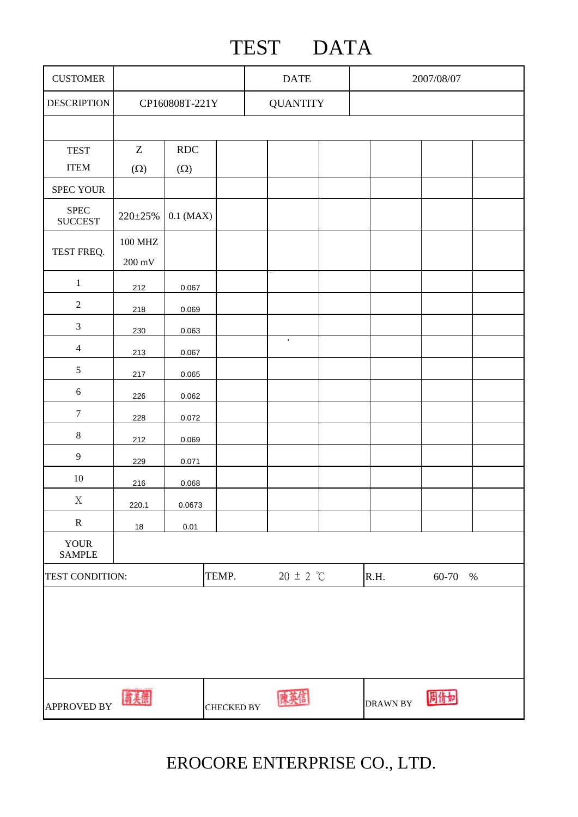## TEST DATA

| <b>CUSTOMER</b>                |                                            |             |                   | <b>DATE</b>     |  | 2007/08/07      |         |  |
|--------------------------------|--------------------------------------------|-------------|-------------------|-----------------|--|-----------------|---------|--|
| <b>DESCRIPTION</b>             | CP160808T-221Y                             |             |                   | <b>QUANTITY</b> |  |                 |         |  |
|                                |                                            |             |                   |                 |  |                 |         |  |
| <b>TEST</b>                    | Z                                          | RDC         |                   |                 |  |                 |         |  |
| <b>ITEM</b>                    | $(\Omega)$                                 | $(\Omega)$  |                   |                 |  |                 |         |  |
| SPEC YOUR                      |                                            |             |                   |                 |  |                 |         |  |
| ${\rm SPEC}$<br><b>SUCCEST</b> | $220 \pm 25\%$                             | $0.1$ (MAX) |                   |                 |  |                 |         |  |
| TEST FREQ.                     | <b>100 MHZ</b><br>$200\text{ }\mathrm{mV}$ |             |                   |                 |  |                 |         |  |
| $\mathbf{1}$                   | 212                                        | 0.067       |                   |                 |  |                 |         |  |
| $\sqrt{2}$                     | 218                                        | 0.069       |                   |                 |  |                 |         |  |
| $\mathfrak{Z}$                 | 230                                        | 0.063       |                   |                 |  |                 |         |  |
| $\overline{4}$                 | 213                                        | 0.067       |                   | $\bullet$       |  |                 |         |  |
| $\sqrt{5}$                     | 217                                        | 0.065       |                   |                 |  |                 |         |  |
| $\sqrt{6}$                     | 226                                        | 0.062       |                   |                 |  |                 |         |  |
| $\boldsymbol{7}$               | 228                                        | 0.072       |                   |                 |  |                 |         |  |
| $\,8\,$                        | 212                                        | 0.069       |                   |                 |  |                 |         |  |
| $\overline{9}$                 | 229                                        | 0.071       |                   |                 |  |                 |         |  |
| $10\,$                         | 216                                        | 0.068       |                   |                 |  |                 |         |  |
| $\mathbf X$                    | 220.1                                      | 0.0673      |                   |                 |  |                 |         |  |
| $\mathbf R$                    | 18                                         | 0.01        |                   |                 |  |                 |         |  |
| <b>YOUR</b><br><b>SAMPLE</b>   |                                            |             |                   |                 |  |                 |         |  |
| TEMP.<br>TEST CONDITION:       |                                            |             |                   | $20 \pm 2$ °C   |  | R.H.            | 60-70 % |  |
|                                |                                            |             |                   |                 |  |                 |         |  |
| <b>APPROVED BY</b>             | 翁美傑                                        |             | <b>CHECKED BY</b> |                 |  | <b>DRAWN BY</b> | 周倩如     |  |

EROCORE ENTERPRISE CO., LTD.